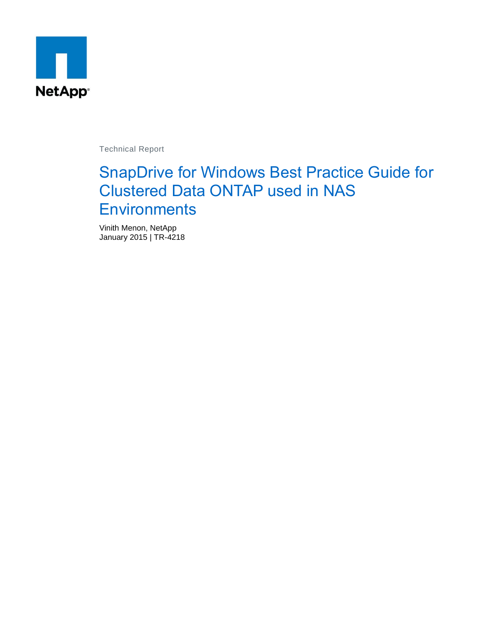

Technical Report

# SnapDrive for Windows Best Practice Guide for Clustered Data ONTAP used in NAS **Environments**

Vinith Menon, NetApp January 2015 | TR-4218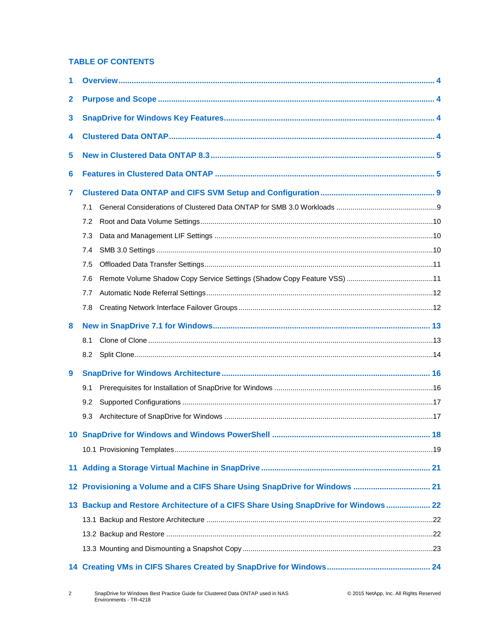#### **TABLE OF CONTENTS**

| 1            |                                                                                   |  |
|--------------|-----------------------------------------------------------------------------------|--|
| $\mathbf{2}$ |                                                                                   |  |
| 3            |                                                                                   |  |
| 4            |                                                                                   |  |
| 5            |                                                                                   |  |
| 6            |                                                                                   |  |
| 7            |                                                                                   |  |
|              | 7.1                                                                               |  |
|              | 7.2                                                                               |  |
|              | 7.3                                                                               |  |
|              | 7.4                                                                               |  |
|              | 7.5                                                                               |  |
|              | 7.6                                                                               |  |
|              | 7.7                                                                               |  |
|              | 7.8                                                                               |  |
|              |                                                                                   |  |
| 8            |                                                                                   |  |
|              | 8.1                                                                               |  |
|              | 8.2                                                                               |  |
| 9            |                                                                                   |  |
|              | 9.1                                                                               |  |
|              | 9.2                                                                               |  |
|              | 9.3                                                                               |  |
|              |                                                                                   |  |
|              |                                                                                   |  |
|              |                                                                                   |  |
|              |                                                                                   |  |
|              | 12 Provisioning a Volume and a CIFS Share Using SnapDrive for Windows  21         |  |
|              | 13 Backup and Restore Architecture of a CIFS Share Using SnapDrive for Windows 22 |  |
|              |                                                                                   |  |
|              |                                                                                   |  |
|              |                                                                                   |  |
|              |                                                                                   |  |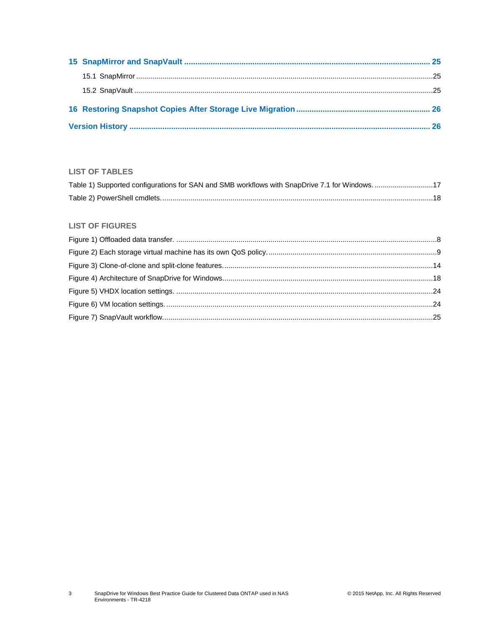### **LIST OF TABLES**

| Table 1) Supported configurations for SAN and SMB workflows with SnapDrive 7.1 for Windows. 17 |  |
|------------------------------------------------------------------------------------------------|--|
|                                                                                                |  |

#### **LIST OF FIGURES**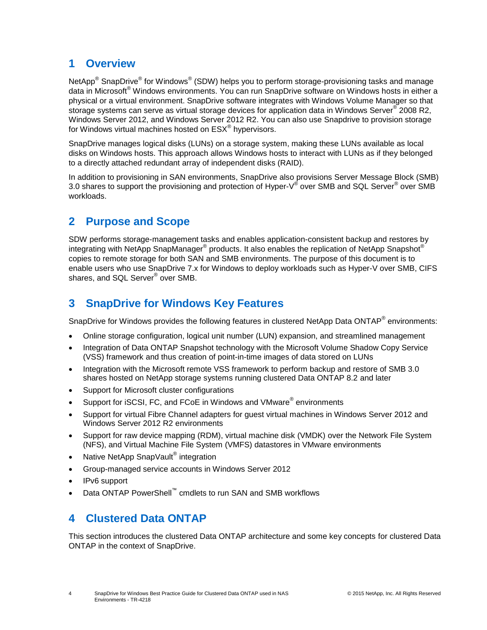# <span id="page-3-0"></span>**1 Overview**

NetApp $^{\circledast}$  SnapDrive $^{\circledast}$  for Windows $^{\circledast}$  (SDW) helps you to perform storage-provisioning tasks and manage data in Microsoft® Windows environments. You can run SnapDrive software on Windows hosts in either a physical or a virtual environment. SnapDrive software integrates with Windows Volume Manager so that storage systems can serve as virtual storage devices for application data in Windows Server® 2008 R2, Windows Server 2012, and Windows Server 2012 R2. You can also use Snapdrive to provision storage for Windows virtual machines hosted on  $\mathsf{ESX}^{\circledast}$  hypervisors.

SnapDrive manages logical disks (LUNs) on a storage system, making these LUNs available as local disks on Windows hosts. This approach allows Windows hosts to interact with LUNs as if they belonged to a directly attached redundant array of independent disks (RAID).

In addition to provisioning in SAN environments, SnapDrive also provisions Server Message Block (SMB) 3.0 shares to support the provisioning and protection of Hyper-V® over SMB and SQL Server® over SMB workloads.

# <span id="page-3-1"></span>**2 Purpose and Scope**

SDW performs storage-management tasks and enables application-consistent backup and restores by integrating with NetApp SnapManager® products. It also enables the replication of NetApp Snapshot® copies to remote storage for both SAN and SMB environments. The purpose of this document is to enable users who use SnapDrive 7.x for Windows to deploy workloads such as Hyper-V over SMB, CIFS shares, and SQL Server® over SMB.

# <span id="page-3-2"></span>**3 SnapDrive for Windows Key Features**

SnapDrive for Windows provides the following features in clustered NetApp Data ONTAP<sup>®</sup> environments:

- Online storage configuration, logical unit number (LUN) expansion, and streamlined management
- Integration of Data ONTAP Snapshot technology with the Microsoft Volume Shadow Copy Service (VSS) framework and thus creation of point-in-time images of data stored on LUNs
- Integration with the Microsoft remote VSS framework to perform backup and restore of SMB 3.0 shares hosted on NetApp storage systems running clustered Data ONTAP 8.2 and later
- Support for Microsoft cluster configurations
- Support for iSCSI, FC, and FCoE in Windows and VMware® environments
- Support for virtual Fibre Channel adapters for guest virtual machines in Windows Server 2012 and Windows Server 2012 R2 environments
- Support for raw device mapping (RDM), virtual machine disk (VMDK) over the Network File System (NFS), and Virtual Machine File System (VMFS) datastores in VMware environments
- Native NetApp SnapVault<sup>®</sup> integration
- Group-managed service accounts in Windows Server 2012
- IPv6 support
- Data ONTAP PowerShell<sup>™</sup> cmdlets to run SAN and SMB workflows

# <span id="page-3-3"></span>**4 Clustered Data ONTAP**

This section introduces the clustered Data ONTAP architecture and some key concepts for clustered Data ONTAP in the context of SnapDrive.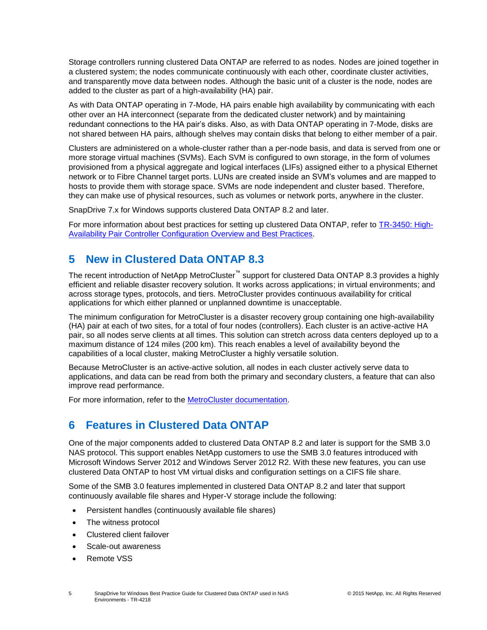Storage controllers running clustered Data ONTAP are referred to as nodes. Nodes are joined together in a clustered system; the nodes communicate continuously with each other, coordinate cluster activities, and transparently move data between nodes. Although the basic unit of a cluster is the node, nodes are added to the cluster as part of a high-availability (HA) pair.

As with Data ONTAP operating in 7-Mode, HA pairs enable high availability by communicating with each other over an HA interconnect (separate from the dedicated cluster network) and by maintaining redundant connections to the HA pair's disks. Also, as with Data ONTAP operating in 7-Mode, disks are not shared between HA pairs, although shelves may contain disks that belong to either member of a pair.

Clusters are administered on a whole-cluster rather than a per-node basis, and data is served from one or more storage virtual machines (SVMs). Each SVM is configured to own storage, in the form of volumes provisioned from a physical aggregate and logical interfaces (LIFs) assigned either to a physical Ethernet network or to Fibre Channel target ports. LUNs are created inside an SVM's volumes and are mapped to hosts to provide them with storage space. SVMs are node independent and cluster based. Therefore, they can make use of physical resources, such as volumes or network ports, anywhere in the cluster.

SnapDrive 7.x for Windows supports clustered Data ONTAP 8.2 and later.

For more information about best practices for setting up clustered Data ONTAP, refer to [TR-3450: High-](https://fieldportal.netapp.com/?oparams=58472)[Availability Pair Controller Configuration Overview and Best Practices.](https://fieldportal.netapp.com/?oparams=58472)

# <span id="page-4-0"></span>**5 New in Clustered Data ONTAP 8.3**

The recent introduction of NetApp MetroCluster<sup>™</sup> support for clustered Data ONTAP 8.3 provides a highly efficient and reliable disaster recovery solution. It works across applications; in virtual environments; and across storage types, protocols, and tiers. MetroCluster provides continuous availability for critical applications for which either planned or unplanned downtime is unacceptable.

The minimum configuration for MetroCluster is a disaster recovery group containing one high-availability (HA) pair at each of two sites, for a total of four nodes (controllers). Each cluster is an active-active HA pair, so all nodes serve clients at all times. This solution can stretch across data centers deployed up to a maximum distance of 124 miles (200 km). This reach enables a level of availability beyond the capabilities of a local cluster, making MetroCluster a highly versatile solution.

Because MetroCluster is an active-active solution, all nodes in each cluster actively serve data to applications, and data can be read from both the primary and secondary clusters, a feature that can also improve read performance.

For more information, refer to the [MetroCluster documentation.](http://mysupport.netapp.com/documentation/docweb/index.html?productID=61912&language=en-US)

# <span id="page-4-1"></span>**6 Features in Clustered Data ONTAP**

One of the major components added to clustered Data ONTAP 8.2 and later is support for the SMB 3.0 NAS protocol. This support enables NetApp customers to use the SMB 3.0 features introduced with Microsoft Windows Server 2012 and Windows Server 2012 R2. With these new features, you can use clustered Data ONTAP to host VM virtual disks and configuration settings on a CIFS file share.

Some of the SMB 3.0 features implemented in clustered Data ONTAP 8.2 and later that support continuously available file shares and Hyper-V storage include the following:

- Persistent handles (continuously available file shares)
- The witness protocol
- Clustered client failover
- Scale-out awareness
- Remote VSS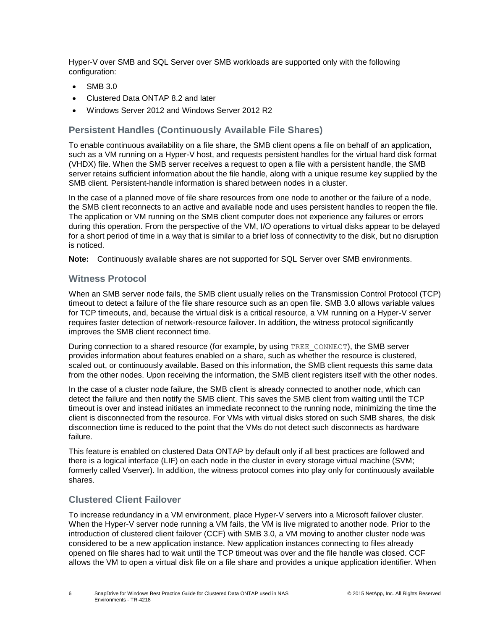Hyper-V over SMB and SQL Server over SMB workloads are supported only with the following configuration:

- SMB 3.0
- Clustered Data ONTAP 8.2 and later
- Windows Server 2012 and Windows Server 2012 R2

#### **Persistent Handles (Continuously Available File Shares)**

To enable continuous availability on a file share, the SMB client opens a file on behalf of an application, such as a VM running on a Hyper-V host, and requests persistent handles for the virtual hard disk format (VHDX) file. When the SMB server receives a request to open a file with a persistent handle, the SMB server retains sufficient information about the file handle, along with a unique resume key supplied by the SMB client. Persistent-handle information is shared between nodes in a cluster.

In the case of a planned move of file share resources from one node to another or the failure of a node, the SMB client reconnects to an active and available node and uses persistent handles to reopen the file. The application or VM running on the SMB client computer does not experience any failures or errors during this operation. From the perspective of the VM, I/O operations to virtual disks appear to be delayed for a short period of time in a way that is similar to a brief loss of connectivity to the disk, but no disruption is noticed.

**Note:** Continuously available shares are not supported for SQL Server over SMB environments.

### **Witness Protocol**

When an SMB server node fails, the SMB client usually relies on the Transmission Control Protocol (TCP) timeout to detect a failure of the file share resource such as an open file. SMB 3.0 allows variable values for TCP timeouts, and, because the virtual disk is a critical resource, a VM running on a Hyper-V server requires faster detection of network-resource failover. In addition, the witness protocol significantly improves the SMB client reconnect time.

During connection to a shared resource (for example, by using TREE\_CONNECT), the SMB server provides information about features enabled on a share, such as whether the resource is clustered, scaled out, or continuously available. Based on this information, the SMB client requests this same data from the other nodes. Upon receiving the information, the SMB client registers itself with the other nodes.

In the case of a cluster node failure, the SMB client is already connected to another node, which can detect the failure and then notify the SMB client. This saves the SMB client from waiting until the TCP timeout is over and instead initiates an immediate reconnect to the running node, minimizing the time the client is disconnected from the resource. For VMs with virtual disks stored on such SMB shares, the disk disconnection time is reduced to the point that the VMs do not detect such disconnects as hardware failure.

This feature is enabled on clustered Data ONTAP by default only if all best practices are followed and there is a logical interface (LIF) on each node in the cluster in every storage virtual machine (SVM; formerly called Vserver). In addition, the witness protocol comes into play only for continuously available shares.

### **Clustered Client Failover**

To increase redundancy in a VM environment, place Hyper-V servers into a Microsoft failover cluster. When the Hyper-V server node running a VM fails, the VM is live migrated to another node. Prior to the introduction of clustered client failover (CCF) with SMB 3.0, a VM moving to another cluster node was considered to be a new application instance. New application instances connecting to files already opened on file shares had to wait until the TCP timeout was over and the file handle was closed. CCF allows the VM to open a virtual disk file on a file share and provides a unique application identifier. When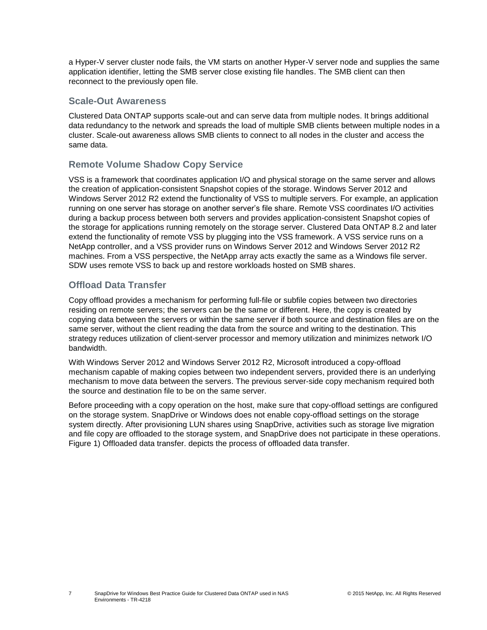a Hyper-V server cluster node fails, the VM starts on another Hyper-V server node and supplies the same application identifier, letting the SMB server close existing file handles. The SMB client can then reconnect to the previously open file.

### **Scale-Out Awareness**

Clustered Data ONTAP supports scale-out and can serve data from multiple nodes. It brings additional data redundancy to the network and spreads the load of multiple SMB clients between multiple nodes in a cluster. Scale-out awareness allows SMB clients to connect to all nodes in the cluster and access the same data.

# **Remote Volume Shadow Copy Service**

VSS is a framework that coordinates application I/O and physical storage on the same server and allows the creation of application-consistent Snapshot copies of the storage. Windows Server 2012 and Windows Server 2012 R2 extend the functionality of VSS to multiple servers. For example, an application running on one server has storage on another server's file share. Remote VSS coordinates I/O activities during a backup process between both servers and provides application-consistent Snapshot copies of the storage for applications running remotely on the storage server. Clustered Data ONTAP 8.2 and later extend the functionality of remote VSS by plugging into the VSS framework. A VSS service runs on a NetApp controller, and a VSS provider runs on Windows Server 2012 and Windows Server 2012 R2 machines. From a VSS perspective, the NetApp array acts exactly the same as a Windows file server. SDW uses remote VSS to back up and restore workloads hosted on SMB shares.

# **Offload Data Transfer**

Copy offload provides a mechanism for performing full-file or subfile copies between two directories residing on remote servers; the servers can be the same or different. Here, the copy is created by copying data between the servers or within the same server if both source and destination files are on the same server, without the client reading the data from the source and writing to the destination. This strategy reduces utilization of client-server processor and memory utilization and minimizes network I/O bandwidth.

With Windows Server 2012 and Windows Server 2012 R2, Microsoft introduced a copy-offload mechanism capable of making copies between two independent servers, provided there is an underlying mechanism to move data between the servers. The previous server-side copy mechanism required both the source and destination file to be on the same server.

Before proceeding with a copy operation on the host, make sure that copy-offload settings are configured on the storage system. SnapDrive or Windows does not enable copy-offload settings on the storage system directly. After provisioning LUN shares using SnapDrive, activities such as storage live migration and file copy are offloaded to the storage system, and SnapDrive does not participate in these operations. [Figure 1\) Offloaded data transfer.](#page-7-0) depicts the process of offloaded data transfer.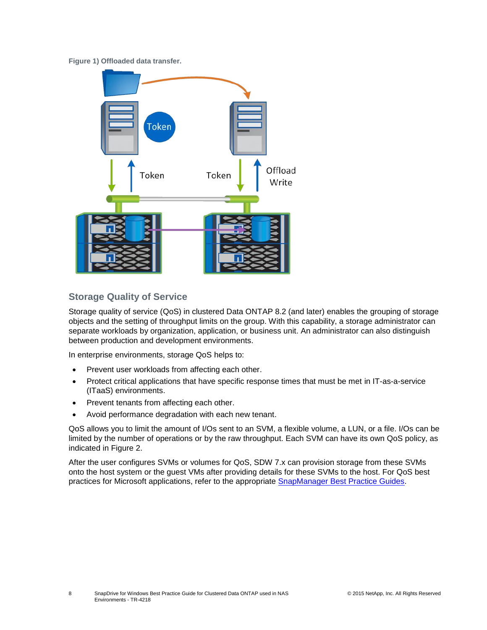<span id="page-7-0"></span>**Figure 1) Offloaded data transfer.**



# **Storage Quality of Service**

Storage quality of service (QoS) in clustered Data ONTAP 8.2 (and later) enables the grouping of storage objects and the setting of throughput limits on the group. With this capability, a storage administrator can separate workloads by organization, application, or business unit. An administrator can also distinguish between production and development environments.

In enterprise environments, storage QoS helps to:

- Prevent user workloads from affecting each other.
- Protect critical applications that have specific response times that must be met in IT-as-a-service (ITaaS) environments.
- Prevent tenants from affecting each other.
- Avoid performance degradation with each new tenant.

QoS allows you to limit the amount of I/Os sent to an SVM, a flexible volume, a LUN, or a file. I/Os can be limited by the number of operations or by the raw throughput. Each SVM can have its own QoS policy, as indicated in [Figure 2.](#page-8-2)

After the user configures SVMs or volumes for QoS, SDW 7.x can provision storage from these SVMs onto the host system or the guest VMs after providing details for these SVMs to the host. For QoS best practices for Microsoft applications, refer to the appropriate **SnapManager Best Practice Guides**.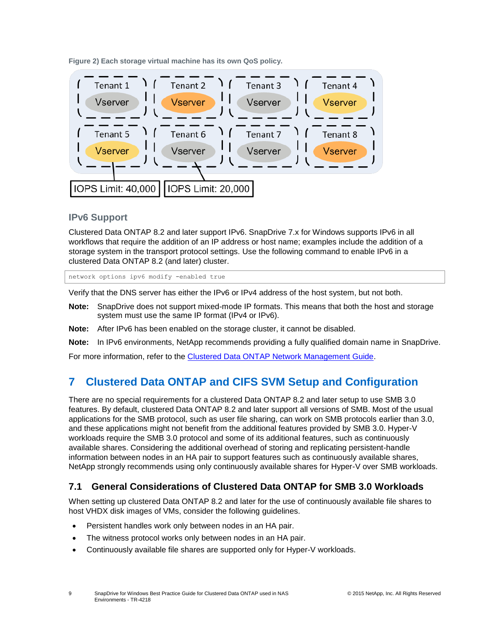<span id="page-8-2"></span>**Figure 2) Each storage virtual machine has its own QoS policy.**



### **IPv6 Support**

Clustered Data ONTAP 8.2 and later support IPv6. SnapDrive 7.x for Windows supports IPv6 in all workflows that require the addition of an IP address or host name; examples include the addition of a storage system in the transport protocol settings. Use the following command to enable IPv6 in a clustered Data ONTAP 8.2 (and later) cluster.

network options ipv6 modify -enabled true

Verify that the DNS server has either the IPv6 or IPv4 address of the host system, but not both.

- **Note:** SnapDrive does not support mixed-mode IP formats. This means that both the host and storage system must use the same IP format (IPv4 or IPv6).
- **Note:** After IPv6 has been enabled on the storage cluster, it cannot be disabled.
- **Note:** In IPv6 environments, NetApp recommends providing a fully qualified domain name in SnapDrive.

For more information, refer to the [Clustered Data ONTAP Network Management Guide.](http://support.netapp.com/documentation/docweb/index.html?productID=61651)

# <span id="page-8-0"></span>**7 Clustered Data ONTAP and CIFS SVM Setup and Configuration**

There are no special requirements for a clustered Data ONTAP 8.2 and later setup to use SMB 3.0 features. By default, clustered Data ONTAP 8.2 and later support all versions of SMB. Most of the usual applications for the SMB protocol, such as user file sharing, can work on SMB protocols earlier than 3.0, and these applications might not benefit from the additional features provided by SMB 3.0. Hyper-V workloads require the SMB 3.0 protocol and some of its additional features, such as continuously available shares. Considering the additional overhead of storing and replicating persistent-handle information between nodes in an HA pair to support features such as continuously available shares, NetApp strongly recommends using only continuously available shares for Hyper-V over SMB workloads.

# <span id="page-8-1"></span>**7.1 General Considerations of Clustered Data ONTAP for SMB 3.0 Workloads**

When setting up clustered Data ONTAP 8.2 and later for the use of continuously available file shares to host VHDX disk images of VMs, consider the following guidelines.

- Persistent handles work only between nodes in an HA pair.
- The witness protocol works only between nodes in an HA pair.
- Continuously available file shares are supported only for Hyper-V workloads.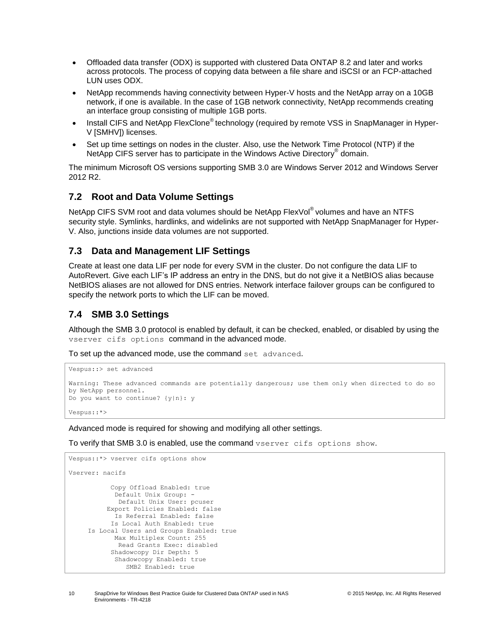- Offloaded data transfer (ODX) is supported with clustered Data ONTAP 8.2 and later and works across protocols. The process of copying data between a file share and iSCSI or an FCP-attached LUN uses ODX.
- NetApp recommends having connectivity between Hyper-V hosts and the NetApp array on a 10GB network, if one is available. In the case of 1GB network connectivity, NetApp recommends creating an interface group consisting of multiple 1GB ports.
- Install CIFS and NetApp FlexClone® technology (required by remote VSS in SnapManager in Hyper-V [SMHV]) licenses.
- Set up time settings on nodes in the cluster. Also, use the Network Time Protocol (NTP) if the NetApp CIFS server has to participate in the Windows Active Directory<sup>®</sup> domain.

The minimum Microsoft OS versions supporting SMB 3.0 are Windows Server 2012 and Windows Server 2012 R2.

### <span id="page-9-0"></span>**7.2 Root and Data Volume Settings**

NetApp CIFS SVM root and data volumes should be NetApp FlexVol<sup>®</sup> volumes and have an NTFS security style. Symlinks, hardlinks, and widelinks are not supported with NetApp SnapManager for Hyper-V. Also, junctions inside data volumes are not supported.

### <span id="page-9-1"></span>**7.3 Data and Management LIF Settings**

Create at least one data LIF per node for every SVM in the cluster. Do not configure the data LIF to AutoRevert. Give each LIF's IP address an entry in the DNS, but do not give it a NetBIOS alias because NetBIOS aliases are not allowed for DNS entries. Network interface failover groups can be configured to specify the network ports to which the LIF can be moved.

# <span id="page-9-2"></span>**7.4 SMB 3.0 Settings**

Although the SMB 3.0 protocol is enabled by default, it can be checked, enabled, or disabled by using the vserver cifs options command in the advanced mode.

To set up the advanced mode, use the command set advanced.

```
Vespus::> set advanced
Warning: These advanced commands are potentially dangerous; use them only when directed to do so 
by NetApp personnel.
Do you want to continue? {y|n}: y
Vespus::*>
```
Advanced mode is required for showing and modifying all other settings.

To verify that SMB 3.0 is enabled, use the command vserver cifs options show.

```
Vespus::*> vserver cifs options show
Vserver: nacifs
            Copy Offload Enabled: true
            Default Unix Group: -
             Default Unix User: pcuser
           Export Policies Enabled: false
            Is Referral Enabled: false
           Is Local Auth Enabled: true
      Is Local Users and Groups Enabled: true
            Max Multiplex Count: 255
             Read Grants Exec: disabled
            Shadowcopy Dir Depth: 5
            Shadowcopy Enabled: true
                SMB2 Enabled: true
```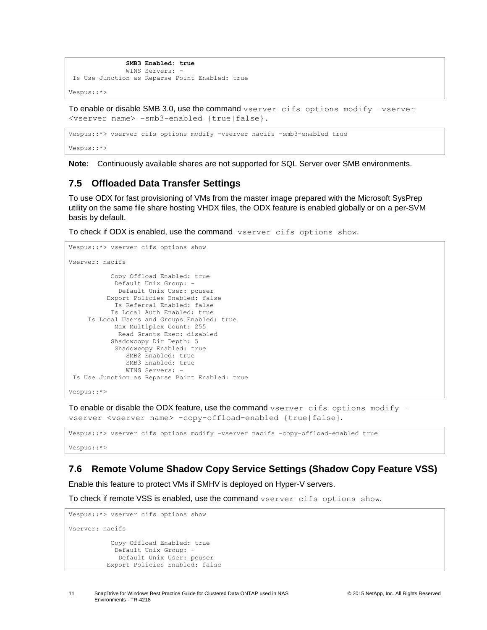```
 SMB3 Enabled: true
                WINS Servers: -
Is Use Junction as Reparse Point Enabled: true
Vespus::*>
```
To enable or disable SMB 3.0, use the command vserver cifs options modify –vserver <vserver name> -smb3-enabled {true|false}.

Vespus::\*> vserver cifs options modify -vserver nacifs -smb3-enabled true

Vespus::\*>

**Note:** Continuously available shares are not supported for SQL Server over SMB environments.

#### <span id="page-10-0"></span>**7.5 Offloaded Data Transfer Settings**

To use ODX for fast provisioning of VMs from the master image prepared with the Microsoft SysPrep utility on the same file share hosting VHDX files, the ODX feature is enabled globally or on a per-SVM basis by default.

To check if ODX is enabled, use the command vserver cifs options show.

```
Vespus::*> vserver cifs options show
Vserver: nacifs
            Copy Offload Enabled: true
            Default Unix Group: -
              Default Unix User: pcuser
           Export Policies Enabled: false
             Is Referral Enabled: false
            Is Local Auth Enabled: true
      Is Local Users and Groups Enabled: true
            Max Multiplex Count: 255
              Read Grants Exec: disabled
            Shadowcopy Dir Depth: 5
             Shadowcopy Enabled: true
               SMB2 Enabled: true
                SMB3 Enabled: true
                WINS Servers: -
Is Use Junction as Reparse Point Enabled: true
Vespus::*>
```
To enable or disable the ODX feature, use the command  $v$ server cifs options modify  $$ vserver <vserver name> -copy-offload-enabled {true|false}.

Vespus::\*> vserver cifs options modify -vserver nacifs -copy-offload-enabled true Vespus::\*>

# <span id="page-10-1"></span>**7.6 Remote Volume Shadow Copy Service Settings (Shadow Copy Feature VSS)**

Enable this feature to protect VMs if SMHV is deployed on Hyper-V servers.

To check if remote VSS is enabled, use the command vserver cifs options show.

```
Vespus::*> vserver cifs options show
Vserver: nacifs
            Copy Offload Enabled: true
            Default Unix Group:
             Default Unix User: pcuser
           Export Policies Enabled: false
```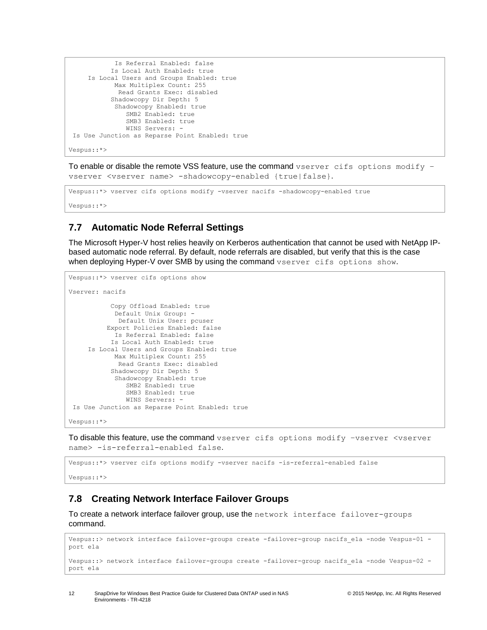```
 Is Referral Enabled: false
            Is Local Auth Enabled: true
      Is Local Users and Groups Enabled: true
             Max Multiplex Count: 255
              Read Grants Exec: disabled
            Shadowcopy Dir Depth: 5
             Shadowcopy Enabled: true
                SMB2 Enabled: true
                SMB3 Enabled: true
                WINS Servers: -
Is Use Junction as Reparse Point Enabled: true
Vespus::*>
```
To enable or disable the remote VSS feature, use the command  $v$ server cifs options modify  $$ vserver <vserver name> -shadowcopy-enabled {true|false}.

```
Vespus::*> vserver cifs options modify -vserver nacifs -shadowcopy-enabled true
Vespus::*>
```
# <span id="page-11-0"></span>**7.7 Automatic Node Referral Settings**

The Microsoft Hyper-V host relies heavily on Kerberos authentication that cannot be used with NetApp IPbased automatic node referral. By default, node referrals are disabled, but verify that this is the case when deploying Hyper-V over SMB by using the command vserver cifs options show.

```
Vespus::*> vserver cifs options show
Vserver: nacifs
            Copy Offload Enabled: true
             Default Unix Group: -
              Default Unix User: pcuser
           Export Policies Enabled: false
             Is Referral Enabled: false
            Is Local Auth Enabled: true
      Is Local Users and Groups Enabled: true
             Max Multiplex Count: 255
              Read Grants Exec: disabled
            Shadowcopy Dir Depth: 5
             Shadowcopy Enabled: true
                SMB2 Enabled: true
                SMB3 Enabled: true
                WINS Servers: -
Is Use Junction as Reparse Point Enabled: true
Vespus::*>
```
To disable this feature, use the command vserver cifs options modify –vserver <vserver name> -is-referral-enabled false.

```
Vespus::*> vserver cifs options modify -vserver nacifs -is-referral-enabled false
```
Vespus::\*>

# <span id="page-11-1"></span>**7.8 Creating Network Interface Failover Groups**

To create a network interface failover group, use the network interface failover-groups command.

```
Vespus::> network interface failover-groups create -failover-group nacifs ela -node Vespus-01 -
port e1a
Vespus::> network interface failover-groups create -failover-group nacifs_e1a -node Vespus-02 -
port e1a
```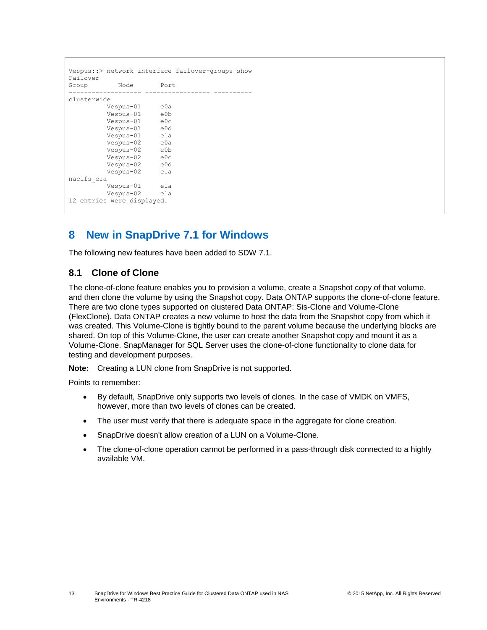```
Vespus::> network interface failover-groups show
Failover
Group Node Port
------------------- ----------------- ----------
clusterwide
        Vespus-01 e0a
 Vespus-01 e0b
 Vespus-01 e0c
         Vespus-01 e0d
         Vespus-01 e1a
         Vespus-02 e0a
         Vespus-02 e0b
         Vespus-02 e0c
        Vespus-02 Vespus-02 e1a
nacifs_e1a
        Vespus-01 e1a
         Vespus-02 e1a
12 entries were displayed.
```
# <span id="page-12-0"></span>**8 New in SnapDrive 7.1 for Windows**

The following new features have been added to SDW 7.1.

### <span id="page-12-1"></span>**8.1 Clone of Clone**

The clone-of-clone feature enables you to provision a volume, create a Snapshot copy of that volume, and then clone the volume by using the Snapshot copy. Data ONTAP supports the clone-of-clone feature. There are two clone types supported on clustered Data ONTAP: Sis-Clone and Volume-Clone (FlexClone). Data ONTAP creates a new volume to host the data from the Snapshot copy from which it was created. This Volume-Clone is tightly bound to the parent volume because the underlying blocks are shared. On top of this Volume-Clone, the user can create another Snapshot copy and mount it as a Volume-Clone. SnapManager for SQL Server uses the clone-of-clone functionality to clone data for testing and development purposes.

**Note:** Creating a LUN clone from SnapDrive is not supported.

Points to remember:

- By default, SnapDrive only supports two levels of clones. In the case of VMDK on VMFS, however, more than two levels of clones can be created.
- The user must verify that there is adequate space in the aggregate for clone creation.
- SnapDrive doesn't allow creation of a LUN on a Volume-Clone.
- The clone-of-clone operation cannot be performed in a pass-through disk connected to a highly available VM.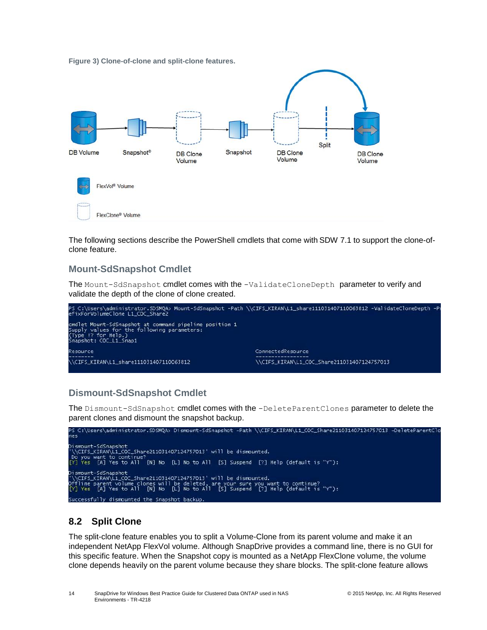<span id="page-13-1"></span>



The following sections describe the PowerShell cmdlets that come with SDW 7.1 to support the clone-ofclone feature.

### **Mount-SdSnapshot Cmdlet**

The Mount-SdSnapshot cmdlet comes with the -ValidateCloneDepth parameter to verify and validate the depth of the clone of clone created.



# **Dismount-SdSnapshot Cmdlet**

The Dismount-SdSnapshot cmdlet comes with the -DeleteParentClones parameter to delete the parent clones and dismount the snapshot backup.



# <span id="page-13-0"></span>**8.2 Split Clone**

The split-clone feature enables you to split a Volume-Clone from its parent volume and make it an independent NetApp FlexVol volume. Although SnapDrive provides a command line, there is no GUI for this specific feature. When the Snapshot copy is mounted as a NetApp FlexClone volume, the volume clone depends heavily on the parent volume because they share blocks. The split-clone feature allows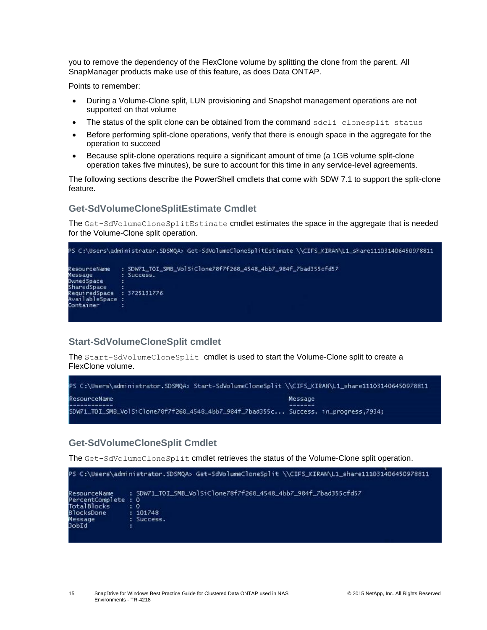you to remove the dependency of the FlexClone volume by splitting the clone from the parent. All SnapManager products make use of this feature, as does Data ONTAP.

Points to remember:

- During a Volume-Clone split, LUN provisioning and Snapshot management operations are not supported on that volume
- The status of the split clone can be obtained from the command sdcli clonesplit status
- Before performing split-clone operations, verify that there is enough space in the aggregate for the operation to succeed
- Because split-clone operations require a significant amount of time (a 1GB volume split-clone operation takes five minutes), be sure to account for this time in any service-level agreements.

The following sections describe the PowerShell cmdlets that come with SDW 7.1 to support the split-clone feature.

#### **Get-SdVolumeCloneSplitEstimate Cmdlet**

The Get-SdVolumeCloneSplitEstimate cmdlet estimates the space in the aggregate that is needed for the Volume-Clone split operation.



#### **Start-SdVolumeCloneSplit cmdlet**

The Start-SdVolumeCloneSplit cmdlet is used to start the Volume-Clone split to create a FlexClone volume.



#### **Get-SdVolumeCloneSplit Cmdlet**

The Get-SdVolumeCloneSplit cmdlet retrieves the status of the Volume-Clone split operation.

```
PS C:\Users\administrator.SDSMQA> Get-SdVolumeCloneSplit \\CIFS_KIRAN\L1_share111031406450978811
                 : SDW71_TOI_SMB_VolSiClone78f7f268_4548_4bb7_984f_7bad355cfd57
ResourceName
PercentComplete : 0
TotalBlocks
                 : 0BlocksDone
                  101748
Message<br>JobId
                 : Success.
```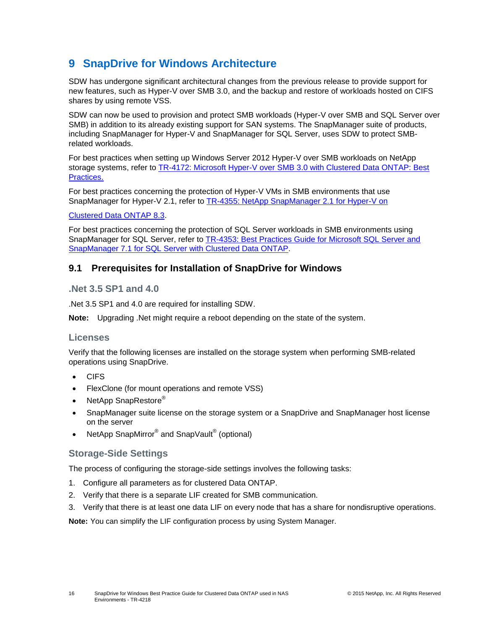# <span id="page-15-0"></span>**9 SnapDrive for Windows Architecture**

SDW has undergone significant architectural changes from the previous release to provide support for new features, such as Hyper-V over SMB 3.0, and the backup and restore of workloads hosted on CIFS shares by using remote VSS.

SDW can now be used to provision and protect SMB workloads (Hyper-V over SMB and SQL Server over SMB) in addition to its already existing support for SAN systems. The SnapManager suite of products, including SnapManager for Hyper-V and SnapManager for SQL Server, uses SDW to protect SMBrelated workloads.

For best practices when setting up Windows Server 2012 Hyper-V over SMB workloads on NetApp storage systems, refer to [TR-4172: Microsoft Hyper-V over SMB 3.0 with Clustered Data ONTAP: Best](http://www.netapp.com/us/system/pdf-reader.aspx?pdfuri=tcm:10-110923-16&m=tr-4172.pdf)  [Practices.](http://www.netapp.com/us/system/pdf-reader.aspx?pdfuri=tcm:10-110923-16&m=tr-4172.pdf)

For best practices concerning the protection of Hyper-V VMs in SMB environments that use SnapManager for Hyper-V 2.1, refer to [TR-4355: NetApp SnapManager 2.1 for Hyper-V on](http://www.netapp.com/us/media/tr-4355.pdf)

#### [Clustered Data ONTAP 8.3.](http://www.netapp.com/us/media/tr-4355.pdf)

For best practices concerning the protection of SQL Server workloads in SMB environments using SnapManager for SQL Server, refer to [TR-4353: Best Practices Guide for Microsoft SQL Server and](http://www.netapp.com/us/media/tr-4353.pdf)  [SnapManager 7.1 for SQL Server with Clustered Data ONTAP.](http://www.netapp.com/us/media/tr-4353.pdf)

### <span id="page-15-1"></span>**9.1 Prerequisites for Installation of SnapDrive for Windows**

#### **.Net 3.5 SP1 and 4.0**

.Net 3.5 SP1 and 4.0 are required for installing SDW.

**Note:** Upgrading .Net might require a reboot depending on the state of the system.

#### **Licenses**

Verify that the following licenses are installed on the storage system when performing SMB-related operations using SnapDrive.

- CIFS
- FlexClone (for mount operations and remote VSS)
- NetApp SnapRestore<sup>®</sup>
- SnapManager suite license on the storage system or a SnapDrive and SnapManager host license on the server
- NetApp SnapMirror<sup>®</sup> and SnapVault<sup>®</sup> (optional)

#### **Storage-Side Settings**

The process of configuring the storage-side settings involves the following tasks:

- 1. Configure all parameters as for clustered Data ONTAP.
- 2. Verify that there is a separate LIF created for SMB communication.
- 3. Verify that there is at least one data LIF on every node that has a share for nondisruptive operations.

**Note:** You can simplify the LIF configuration process by using System Manager.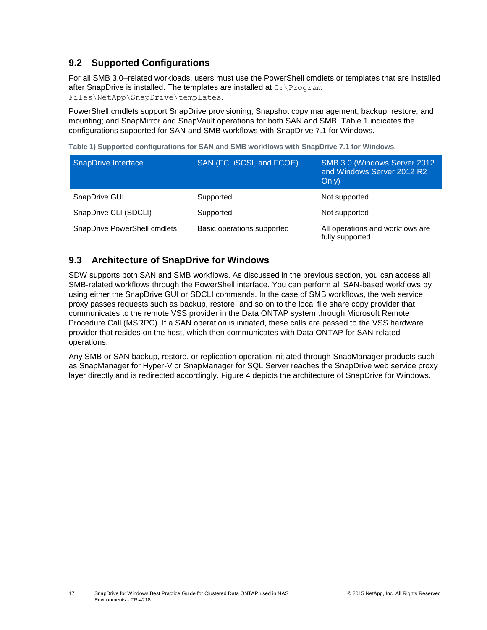# <span id="page-16-0"></span>**9.2 Supported Configurations**

For all SMB 3.0–related workloads, users must use the PowerShell cmdlets or templates that are installed after SnapDrive is installed. The templates are installed at C:\Program

Files\NetApp\SnapDrive\templates.

PowerShell cmdlets support SnapDrive provisioning; Snapshot copy management, backup, restore, and mounting; and SnapMirror and SnapVault operations for both SAN and SMB. [Table 1](#page-16-2) indicates the configurations supported for SAN and SMB workflows with SnapDrive 7.1 for Windows.

| SnapDrive Interface          | SAN (FC, iSCSI, and FCOE)  | SMB 3.0 (Windows Server 2012<br>and Windows Server 2012 R2<br>Only) |
|------------------------------|----------------------------|---------------------------------------------------------------------|
| SnapDrive GUI                | Supported                  | Not supported                                                       |
| SnapDrive CLI (SDCLI)        | Supported                  | Not supported                                                       |
| SnapDrive PowerShell cmdlets | Basic operations supported | All operations and workflows are<br>fully supported                 |

<span id="page-16-2"></span>**Table 1) Supported configurations for SAN and SMB workflows with SnapDrive 7.1 for Windows.**

# <span id="page-16-1"></span>**9.3 Architecture of SnapDrive for Windows**

SDW supports both SAN and SMB workflows. As discussed in the previous section, you can access all SMB-related workflows through the PowerShell interface. You can perform all SAN-based workflows by using either the SnapDrive GUI or SDCLI commands. In the case of SMB workflows, the web service proxy passes requests such as backup, restore, and so on to the local file share copy provider that communicates to the remote VSS provider in the Data ONTAP system through Microsoft Remote Procedure Call (MSRPC). If a SAN operation is initiated, these calls are passed to the VSS hardware provider that resides on the host, which then communicates with Data ONTAP for SAN-related operations.

Any SMB or SAN backup, restore, or replication operation initiated through SnapManager products such as SnapManager for Hyper-V or SnapManager for SQL Server reaches the SnapDrive web service proxy layer directly and is redirected accordingly. [Figure 4](#page-17-2) depicts the architecture of SnapDrive for Windows.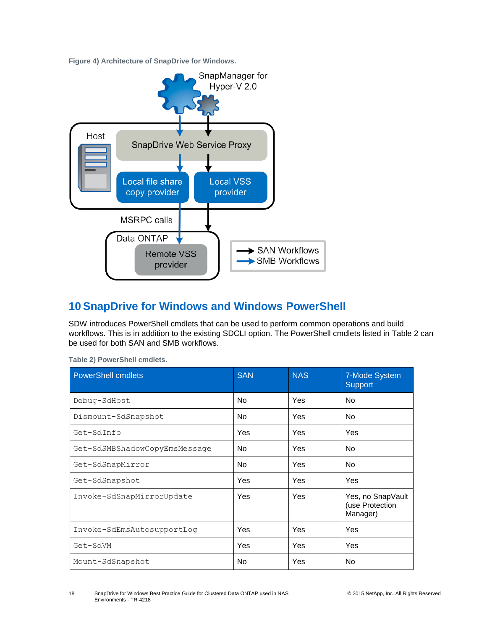<span id="page-17-2"></span>**Figure 4) Architecture of SnapDrive for Windows.**



# <span id="page-17-0"></span>**10 SnapDrive for Windows and Windows PowerShell**

SDW introduces PowerShell cmdlets that can be used to perform common operations and build workflows. This is in addition to the existing SDCLI option. The PowerShell cmdlets listed in [Table 2](#page-17-1) can be used for both SAN and SMB workflows.

| <b>PowerShell cmdlets</b>     | <b>SAN</b>     | <b>NAS</b> | 7-Mode System<br><b>Support</b>                  |
|-------------------------------|----------------|------------|--------------------------------------------------|
| Debug-SdHost                  | N <sub>o</sub> | Yes        | <b>No</b>                                        |
| Dismount-SdSnapshot           | N <sub>o</sub> | Yes        | N <sub>o</sub>                                   |
| Get-SdInfo                    | <b>Yes</b>     | Yes        | Yes                                              |
| Get-SdSMBShadowCopyEmsMessage | N <sub>o</sub> | Yes        | No.                                              |
| Get-SdSnapMirror              | N <sub>o</sub> | Yes        | <b>No</b>                                        |
| Get-SdSnapshot                | Yes.           | Yes        | Yes                                              |
| Invoke-SdSnapMirrorUpdate     | <b>Yes</b>     | Yes        | Yes, no SnapVault<br>(use Protection<br>Manager) |
| Invoke-SdEmsAutosupportLoq    | Yes.           | Yes        | Yes                                              |
| Get-SdVM                      | Yes            | Yes        | Yes                                              |
| Mount-SdSnapshot              | No.            | Yes        | No.                                              |

<span id="page-17-1"></span>**Table 2) PowerShell cmdlets.**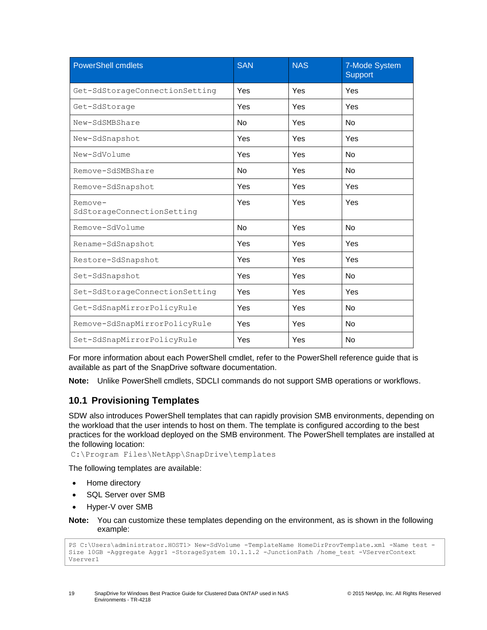| <b>PowerShell cmdlets</b>             | <b>SAN</b> | <b>NAS</b> | 7-Mode System<br>Support |
|---------------------------------------|------------|------------|--------------------------|
| Get-SdStorageConnectionSetting        | Yes        | Yes        | Yes                      |
| Get-SdStorage                         | Yes        | Yes        | Yes                      |
| New-SdSMBShare                        | <b>No</b>  | Yes        | N <sub>o</sub>           |
| New-SdSnapshot                        | Yes        | Yes        | Yes                      |
| New-SdVolume                          | Yes        | Yes        | <b>No</b>                |
| Remove-SdSMBShare                     | <b>No</b>  | Yes        | N <sub>o</sub>           |
| Remove-SdSnapshot                     | Yes        | Yes        | Yes                      |
| Remove-<br>SdStorageConnectionSetting | Yes        | Yes        | Yes                      |
| Remove-SdVolume                       | <b>No</b>  | Yes        | <b>No</b>                |
| Rename-SdSnapshot                     | Yes        | Yes        | Yes                      |
| Restore-SdSnapshot                    | Yes        | Yes        | Yes                      |
| Set-SdSnapshot                        | Yes        | Yes        | N <sub>o</sub>           |
| Set-SdStorageConnectionSetting        | Yes        | Yes        | Yes                      |
| Get-SdSnapMirrorPolicyRule            | Yes        | Yes        | <b>No</b>                |
| Remove-SdSnapMirrorPolicyRule         | Yes        | Yes        | <b>No</b>                |
| Set-SdSnapMirrorPolicyRule            | Yes        | Yes        | <b>No</b>                |

For more information about each PowerShell cmdlet, refer to the PowerShell reference guide that is available as part of the SnapDrive software documentation.

**Note:** Unlike PowerShell cmdlets, SDCLI commands do not support SMB operations or workflows.

# <span id="page-18-0"></span>**10.1 Provisioning Templates**

SDW also introduces PowerShell templates that can rapidly provision SMB environments, depending on the workload that the user intends to host on them. The template is configured according to the best practices for the workload deployed on the SMB environment. The PowerShell templates are installed at the following location:

C:\Program Files\NetApp\SnapDrive\templates

The following templates are available:

- Home directory
- SQL Server over SMB
- Hyper-V over SMB

**Note:** You can customize these templates depending on the environment, as is shown in the following example:

```
PS C:\Users\administrator.HOST1> New-SdVolume -TemplateName HomeDirProvTemplate.xml -Name test -
Size 10GB -Aggregate Aggr1 -StorageSystem 10.1.1.2 -JunctionPath /home_test -VServerContext 
Vserver1
```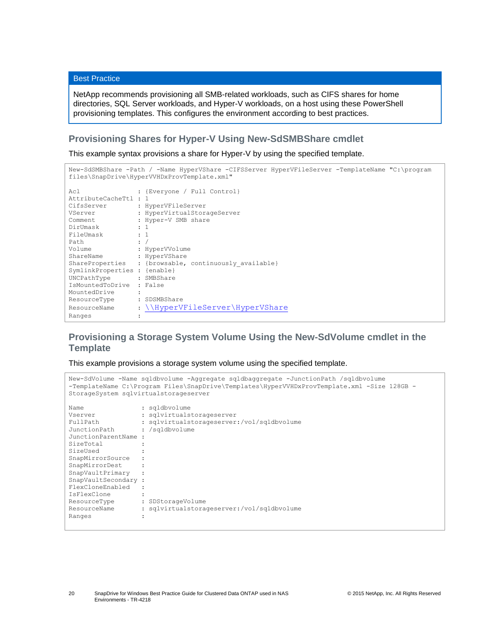```
Best Practice
```
NetApp recommends provisioning all SMB-related workloads, such as CIFS shares for home directories, SQL Server workloads, and Hyper-V workloads, on a host using these PowerShell provisioning templates. This configures the environment according to best practices.

### **Provisioning Shares for Hyper-V Using New-SdSMBShare cmdlet**

This example syntax provisions a share for Hyper-V by using the specified template.

```
New-SdSMBShare -Path / -Name HyperVShare -CIFSServer HyperVFileServer -TemplateName "C:\program 
files\SnapDrive\HyperVVHDxProvTemplate.xml"
Acl : {Everyone / Full Control}
AttributeCacheTtl : 1
CifsServer : HyperVFileServer
VServer : HyperVirtualStorageServer
Comment : Hyper-V SMB share
DirUmask : 1
FileUmask : 1
Path : /
Volume : HyperVVolume
ShareName : HyperVShare
ShareName : HyperVShare<br>ShareProperties : {browsable, continuously_available}
SymlinkProperties : {enable}
UNCPathType : SMBShare
IsMountedToDrive : False
MountedDrive :
ResourceType : SDSMBShare
\\HyperVFileServer\HyperVShare
Ranges :
```
# **Provisioning a Storage System Volume Using the New-SdVolume cmdlet in the Template**

This example provisions a storage system volume using the specified template.

```
New-SdVolume -Name sqldbvolume -Aggregate sqldbaggregate -JunctionPath /sqldbvolume 
-TemplateName C:\Program Files\SnapDrive\Templates\HyperVVHDxProvTemplate.xml -Size 128GB -
StorageSystem sqlvirtualstorageserver
Name : sqldbvolume
Vserver : sqlvirtualstorageserver
                 : sqldbvolume<br>: sqlvirtualstorageserver<br>: sqlvirtualstorageserver:/vol/sqldbvolume
JunctionPath : /sqldbvolume
JunctionParentName :
SizeTotal :
SizeUsed :
SnapMirrorSource :
SnapMirrorDest :
SnapVaultPrimary :
SnapVaultSecondary :
FlexCloneEnabled :
IsFlexClone :
ResourceType : SDStorageVolume
ResourceName : sqlvirtualstorageserver:/vol/sqldbvolume
Ranges :
```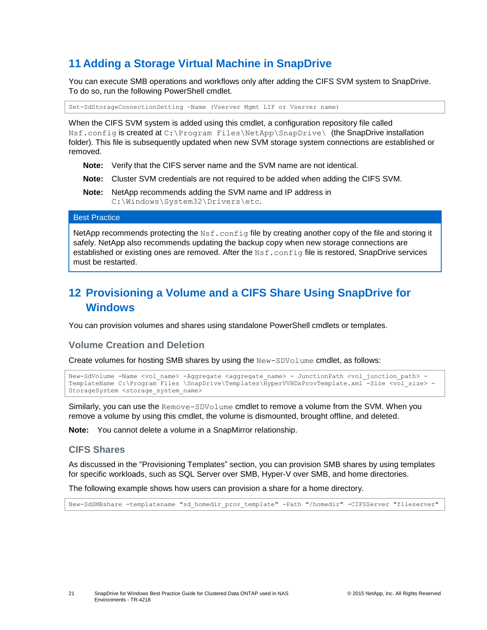# <span id="page-20-0"></span>**11 Adding a Storage Virtual Machine in SnapDrive**

You can execute SMB operations and workflows only after adding the CIFS SVM system to SnapDrive. To do so, run the following PowerShell cmdlet.

Set-SdStorageConnectionSetting –Name (Vserver Mgmt LIF or Vserver name)

When the CIFS SVM system is added using this cmdlet, a configuration repository file called Nsf.config is created at C:\Program Files\NetApp\SnapDrive\ (the SnapDrive installation folder). This file is subsequently updated when new SVM storage system connections are established or removed.

- **Note:** Verify that the CIFS server name and the SVM name are not identical.
- **Note:** Cluster SVM credentials are not required to be added when adding the CIFS SVM.
- **Note:** NetApp recommends adding the SVM name and IP address in C:\Windows\System32\Drivers\etc.

#### Best Practice

NetApp recommends protecting the Nsf.config file by creating another copy of the file and storing it safely. NetApp also recommends updating the backup copy when new storage connections are established or existing ones are removed. After the Nsf.config file is restored, SnapDrive services must be restarted.

# <span id="page-20-1"></span>**12 Provisioning a Volume and a CIFS Share Using SnapDrive for Windows**

You can provision volumes and shares using standalone PowerShell cmdlets or templates.

#### **Volume Creation and Deletion**

Create volumes for hosting SMB shares by using the New-SDVolume cmdlet, as follows:

```
New-SdVolume -Name <vol name> -Aggregate <aggregate name> - JunctionPath <vol junction path> -
TemplateName C:\Program Files \SnapDrive\Templates\HyperVVHDxProvTemplate.xml -Size <vol_size> -
StorageSystem <storage_system_name>
```
Similarly, you can use the Remove-SDVolume cmdlet to remove a volume from the SVM. When you remove a volume by using this cmdlet, the volume is dismounted, brought offline, and deleted.

**Note:** You cannot delete a volume in a SnapMirror relationship.

#### **CIFS Shares**

As discussed in the ["Provisioning](#page-18-0) Templates" section, you can provision SMB shares by using templates for specific workloads, such as SQL Server over SMB, Hyper-V over SMB, and home directories.

The following example shows how users can provision a share for a home directory.

New-SdSMBshare -templatename "sd\_homedir\_prov\_template" -Path "/homedir" -CIFSServer "fileserver"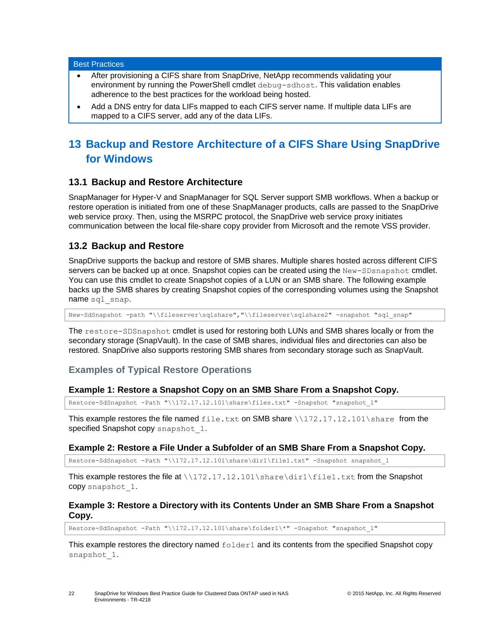#### Best Practices

- After provisioning a CIFS share from SnapDrive, NetApp recommends validating your environment by running the PowerShell cmdlet debug-sdhost. This validation enables adherence to the best practices for the workload being hosted.
- Add a DNS entry for data LIFs mapped to each CIFS server name. If multiple data LIFs are mapped to a CIFS server, add any of the data LIFs.

# <span id="page-21-0"></span>**13 Backup and Restore Architecture of a CIFS Share Using SnapDrive for Windows**

### <span id="page-21-1"></span>**13.1 Backup and Restore Architecture**

SnapManager for Hyper-V and SnapManager for SQL Server support SMB workflows. When a backup or restore operation is initiated from one of these SnapManager products, calls are passed to the SnapDrive web service proxy. Then, using the MSRPC protocol, the SnapDrive web service proxy initiates communication between the local file-share copy provider from Microsoft and the remote VSS provider.

#### <span id="page-21-2"></span>**13.2 Backup and Restore**

SnapDrive supports the backup and restore of SMB shares. Multiple shares hosted across different CIFS servers can be backed up at once. Snapshot copies can be created using the New-SDsnapshot cmdlet. You can use this cmdlet to create Snapshot copies of a LUN or an SMB share. The following example backs up the SMB shares by creating Snapshot copies of the corresponding volumes using the Snapshot name sql\_snap.

New-SdSnapshot -path "\\fileserver\sqlshare","\\fileserver\sqlshare2" -snapshot "sql\_snap"

The restore-SDSnapshot cmdlet is used for restoring both LUNs and SMB shares locally or from the secondary storage (SnapVault). In the case of SMB shares, individual files and directories can also be restored. SnapDrive also supports restoring SMB shares from secondary storage such as SnapVault.

#### **Examples of Typical Restore Operations**

#### **Example 1: Restore a Snapshot Copy on an SMB Share From a Snapshot Copy.**

Restore-SdSnapshot -Path "\\172.17.12.101\share\files.txt" -Snapshot "snapshot\_1"

This example restores the file named  $file.txt$  on SMB share  $\172.17.12.101\$ share from the specified Snapshot copy snapshot 1.

#### **Example 2: Restore a File Under a Subfolder of an SMB Share From a Snapshot Copy.**

Restore-SdSnapshot -Path "\\172.17.12.101\share\dir1\file1.txt" -Snapshot snapshot\_1

This example restores the file at \\172.17.12.101\share\dir1\file1.txt from the Snapshot copy snapshot\_1.

#### **Example 3: Restore a Directory with its Contents Under an SMB Share From a Snapshot Copy.**

Restore-SdSnapshot -Path "\\172.17.12.101\share\folder1\\*" -Snapshot "snapshot\_1"

This example restores the directory named  $f \circ \text{lder1}$  and its contents from the specified Snapshot copy snapshot\_1.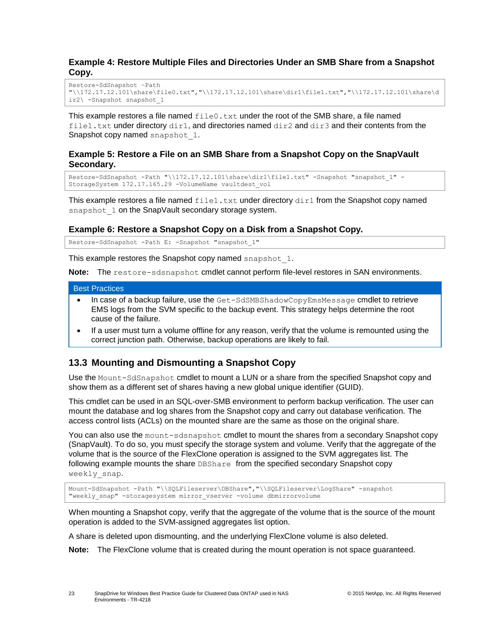#### **Example 4: Restore Multiple Files and Directories Under an SMB Share from a Snapshot Copy.**

```
Restore-SdSnapshot –Path 
"\\172.17.12.101\share\file0.txt","\\172.17.12.101\share\dir1\file1.txt","\\172.17.12.101\share\d
ir2\ -Snapshot snapshot_1
```
This example restores a file named  $file0.txt$  under the root of the SMB share, a file named file1.txt under directory dir1, and directories named  $\text{dir2}$  and  $\text{dir3}$  and their contents from the Snapshot copy named snapshot 1.

#### **Example 5: Restore a File on an SMB Share from a Snapshot Copy on the SnapVault Secondary.**

```
Restore-SdSnapshot -Path "\\172.17.12.101\share\dir1\file1.txt" -Snapshot "snapshot 1" -
StorageSystem 172.17.165.29 -VolumeName vaultdest_vol
```
This example restores a file named  $\text{file1.txt}$  under directory  $\text{dir1}$  from the Snapshot copy named snapshot 1 on the SnapVault secondary storage system.

#### **Example 6: Restore a Snapshot Copy on a Disk from a Snapshot Copy.**

Restore-SdSnapshot -Path E: -Snapshot "snapshot\_1"

This example restores the Snapshot copy named snapshot 1.

**Note:** The restore-sdsnapshot cmdlet cannot perform file-level restores in SAN environments.

#### Best Practices

- In case of a backup failure, use the Get-SdSMBShadowCopyEmsMessage cmdlet to retrieve EMS logs from the SVM specific to the backup event. This strategy helps determine the root cause of the failure.
- If a user must turn a volume offline for any reason, verify that the volume is remounted using the correct junction path. Otherwise, backup operations are likely to fail.

### <span id="page-22-0"></span>**13.3 Mounting and Dismounting a Snapshot Copy**

Use the Mount-SdSnapshot cmdlet to mount a LUN or a share from the specified Snapshot copy and show them as a different set of shares having a new global unique identifier (GUID).

This cmdlet can be used in an SQL-over-SMB environment to perform backup verification. The user can mount the database and log shares from the Snapshot copy and carry out database verification. The access control lists (ACLs) on the mounted share are the same as those on the original share.

You can also use the mount-sdsnapshot cmdlet to mount the shares from a secondary Snapshot copy (SnapVault). To do so, you must specify the storage system and volume. Verify that the aggregate of the volume that is the source of the FlexClone operation is assigned to the SVM aggregates list. The following example mounts the share DBShare from the specified secondary Snapshot copy weekly snap.

```
Mount-SdSnapshot -Path "\\SQLFileserver\DBShare","\\SQLFileserver\LogShare" -snapshot 
"weekly_snap" -storagesystem mirror_vserver -volume dbmirrorvolume
```
When mounting a Snapshot copy, verify that the aggregate of the volume that is the source of the mount operation is added to the SVM-assigned aggregates list option.

A share is deleted upon dismounting, and the underlying FlexClone volume is also deleted.

**Note:** The FlexClone volume that is created during the mount operation is not space guaranteed.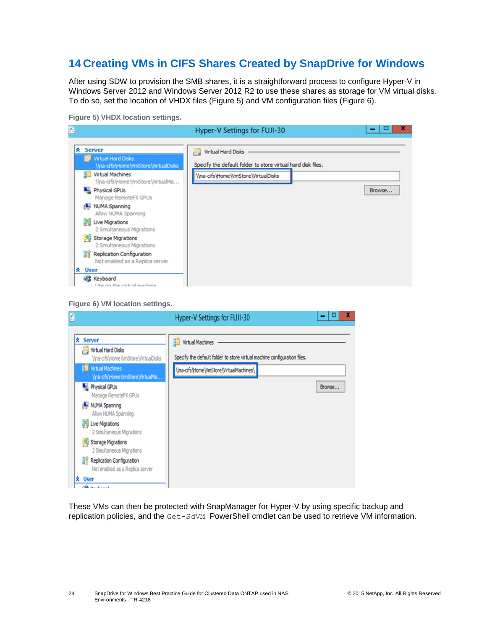# <span id="page-23-0"></span>**14 Creating VMs in CIFS Shares Created by SnapDrive for Windows**

After using SDW to provision the SMB shares, it is a straightforward process to configure Hyper-V in Windows Server 2012 and Windows Server 2012 R2 to use these shares as storage for VM virtual disks. To do so, set the location of VHDX files [\(Figure 5\)](#page-23-1) and VM configuration files [\(Figure 6\)](#page-23-2).

<span id="page-23-1"></span>**Figure 5) VHDX location settings.**

| 全                                                                                                                                  | Hyper-V Settings for FUJI-30                                                                                                                          | x      |
|------------------------------------------------------------------------------------------------------------------------------------|-------------------------------------------------------------------------------------------------------------------------------------------------------|--------|
| <b>A</b> Server<br>Virtual Hard Disks<br>\\na-cifs\Home\VmStore\VirtualDisks<br>Virtual Machines                                   | <b>Virtual Hard Disks</b><br><b>Contract</b><br>Specify the default folder to store virtual hard disk files.<br>\\na-cifs\Home\\\mStore\\\irtualDisks |        |
| \\na-cifs\Home\VmStore\VirtualMa<br><b>Physical GPUs</b><br>Manage RemoteFX GPUs                                                   |                                                                                                                                                       | Browse |
| NUMA Spanning<br>Allow NUMA Spanning<br><b>Live Migrations</b><br>2 Simultaneous Migrations                                        |                                                                                                                                                       |        |
| <b>Storage Migrations</b><br>52<br>2 Simultaneous Migrations<br>Replication Configuration<br>ΞY<br>Not enabled as a Replica server |                                                                                                                                                       |        |
| <b>会</b> User<br><b>ES</b> Keyboard<br>I lee on the virtual machine                                                                |                                                                                                                                                       |        |

<span id="page-23-2"></span>

| Ľ                                                                                                                                                                                                                                                                                                                                                                                                                                                                          | Hyper-V Settings for FUJI-30                                                                                                                           | x      |
|----------------------------------------------------------------------------------------------------------------------------------------------------------------------------------------------------------------------------------------------------------------------------------------------------------------------------------------------------------------------------------------------------------------------------------------------------------------------------|--------------------------------------------------------------------------------------------------------------------------------------------------------|--------|
| <b>Server</b><br>交<br>Virtual Hard Disks<br>\\na-cifs\Home\VmStore\VirtualDisks<br><b>Fig.</b> Virtual Machines<br>\\na-cifs\Home\VmStore\VirtualMa<br>Physical GPUs<br>Manage RemoteFX GPUs<br>NUMA Spanning<br>Allow NUMA Spanning<br><b>No. Live Migrations</b><br>2 Simultaneous Migrations<br><b>Storage Migrations</b><br>я<br>2 Simultaneous Migrations<br>ĒĤ<br>Replication Configuration<br>Not enabled as a Replica server<br><b>≪</b> User<br>$\alpha$ $\alpha$ | <b>Virtual Machines</b><br>87<br>Specify the default folder to store virtual machine configuration files.<br>\\na-cifs\Home\\\mStore\\\irtualMachines\ | Browse |

These VMs can then be protected with SnapManager for Hyper-V by using specific backup and replication policies, and the Get-SdVM PowerShell cmdlet can be used to retrieve VM information.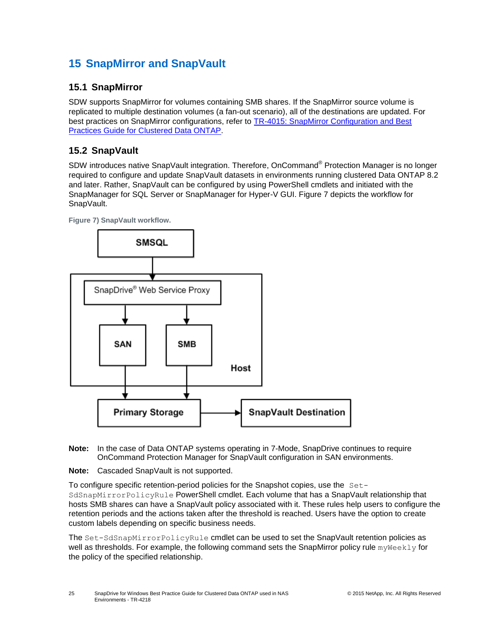# <span id="page-24-0"></span>**15 SnapMirror and SnapVault**

### <span id="page-24-1"></span>**15.1 SnapMirror**

SDW supports SnapMirror for volumes containing SMB shares. If the SnapMirror source volume is replicated to multiple destination volumes (a fan-out scenario), all of the destinations are updated. For best practices on SnapMirror configurations, refer to [TR-4015: SnapMirror Configuration and Best](file:///C:/Users/dorianh/Downloads/TR-4015%20SnapMirror%20Configuration%20and%20Best%20Practices%20Guide%20for%20Clustered%20Data%20ONTAP%20(1).pdf)  [Practices Guide for Clustered Data ONTAP.](file:///C:/Users/dorianh/Downloads/TR-4015%20SnapMirror%20Configuration%20and%20Best%20Practices%20Guide%20for%20Clustered%20Data%20ONTAP%20(1).pdf)

# <span id="page-24-2"></span>**15.2 SnapVault**

SDW introduces native SnapVault integration. Therefore, OnCommand<sup>®</sup> Protection Manager is no longer required to configure and update SnapVault datasets in environments running clustered Data ONTAP 8.2 and later. Rather, SnapVault can be configured by using PowerShell cmdlets and initiated with the SnapManager for SQL Server or SnapManager for Hyper-V GUI. [Figure 7](#page-24-3) depicts the workflow for SnapVault.

<span id="page-24-3"></span>



- **Note:** In the case of Data ONTAP systems operating in 7-Mode, SnapDrive continues to require OnCommand Protection Manager for SnapVault configuration in SAN environments.
- **Note:** Cascaded SnapVault is not supported.

To configure specific retention-period policies for the Snapshot copies, use the Set-SdSnapMirrorPolicyRule PowerShell cmdlet. Each volume that has a SnapVault relationship that hosts SMB shares can have a SnapVault policy associated with it. These rules help users to configure the retention periods and the actions taken after the threshold is reached. Users have the option to create custom labels depending on specific business needs.

The Set-SdSnapMirrorPolicyRule cmdlet can be used to set the SnapVault retention policies as well as thresholds. For example, the following command sets the SnapMirror policy rule myWeekly for the policy of the specified relationship.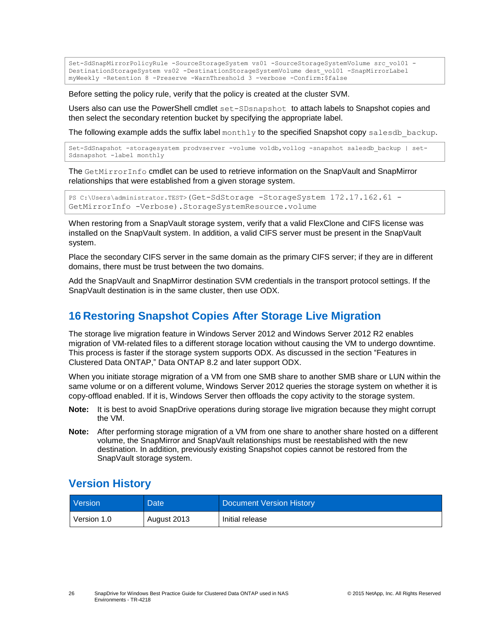```
Set-SdSnapMirrorPolicyRule -SourceStorageSystem vs01 -SourceStorageSystemVolume src_vol01 -
DestinationStorageSystem vs02 -DestinationStorageSystemVolume dest_vol01 -SnapMirrorLabel 
myWeekly -Retention 8 -Preserve -WarnThreshold 3 -verbose -Confirm:$false
```
Before setting the policy rule, verify that the policy is created at the cluster SVM.

Users also can use the PowerShell cmdlet set-SDsnapshot to attach labels to Snapshot copies and then select the secondary retention bucket by specifying the appropriate label.

The following example adds the suffix label  $\text{monthly}$  to the specified Snapshot copy salesdb backup.

```
Set-SdSnapshot -storagesystem prodvserver -volume voldb,vollog -snapshot salesdb_backup | set-
Sdsnapshot -label monthly
```
The GetMirrorInfo cmdlet can be used to retrieve information on the SnapVault and SnapMirror relationships that were established from a given storage system.

```
PS C:\Users\administrator.TEST>(Get-SdStorage -StorageSystem 172.17.162.61 -
GetMirrorInfo -Verbose).StorageSystemResource.volume
```
When restoring from a SnapVault storage system, verify that a valid FlexClone and CIFS license was installed on the SnapVault system. In addition, a valid CIFS server must be present in the SnapVault system.

Place the secondary CIFS server in the same domain as the primary CIFS server; if they are in different domains, there must be trust between the two domains.

Add the SnapVault and SnapMirror destination SVM credentials in the transport protocol settings. If the SnapVault destination is in the same cluster, then use ODX.

# <span id="page-25-0"></span>**16 Restoring Snapshot Copies After Storage Live Migration**

The storage live migration feature in Windows Server 2012 and Windows Server 2012 R2 enables migration of VM-related files to a different storage location without causing the VM to undergo downtime. This process is faster if the storage system supports ODX. As discussed in the section ["Features in](#page-4-1)  [Clustered Data ONTAP,"](#page-4-1) Data ONTAP 8.2 and later support ODX.

When you initiate storage migration of a VM from one SMB share to another SMB share or LUN within the same volume or on a different volume, Windows Server 2012 queries the storage system on whether it is copy-offload enabled. If it is, Windows Server then offloads the copy activity to the storage system.

- **Note:** It is best to avoid SnapDrive operations during storage live migration because they might corrupt the VM.
- **Note:** After performing storage migration of a VM from one share to another share hosted on a different volume, the SnapMirror and SnapVault relationships must be reestablished with the new destination. In addition, previously existing Snapshot copies cannot be restored from the SnapVault storage system.

# <span id="page-25-1"></span>**Version History**

| Version     | <b>Date</b> | Document Version History |
|-------------|-------------|--------------------------|
| Version 1.0 | August 2013 | Initial release          |